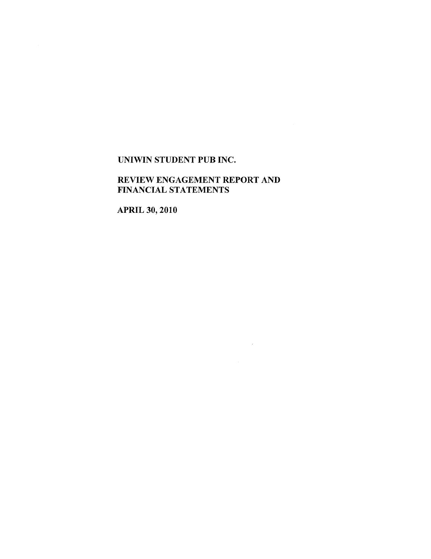# REVIEW ENGAGEMENT REPORT AND FINANCIAL STATEMENTS

 $\label{eq:2.1} \frac{1}{\sqrt{2}}\int_{0}^{\infty}\frac{1}{\sqrt{2\pi}}\left(\frac{1}{\sqrt{2\pi}}\right)^{2\alpha} \frac{1}{\sqrt{2\pi}}\int_{0}^{\infty}\frac{1}{\sqrt{2\pi}}\left(\frac{1}{\sqrt{2\pi}}\right)^{\alpha} \frac{1}{\sqrt{2\pi}}\frac{1}{\sqrt{2\pi}}\int_{0}^{\infty}\frac{1}{\sqrt{2\pi}}\frac{1}{\sqrt{2\pi}}\frac{1}{\sqrt{2\pi}}\frac{1}{\sqrt{2\pi}}\frac{1}{\sqrt{2\pi}}\frac{1}{\sqrt{2\pi}}$ 

APRIL 30, 2010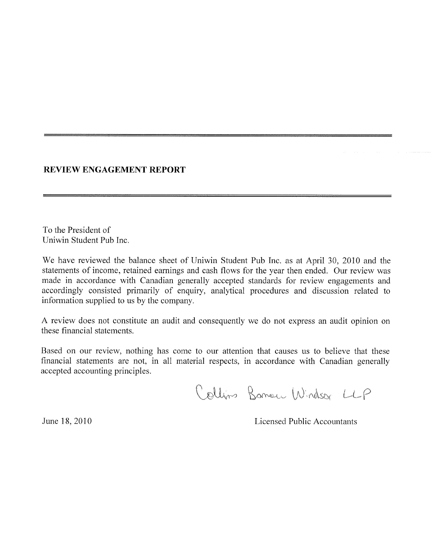## **REVIEW ENGAGEMENT REPORT**

To the President of Uniwin Student Pub Inc.

We have reviewed the balance sheet of Uniwin Student Pub Inc. as at April 30, 2010 and the statements of income, retained earnings and cash flows for the year then ended. Our review was made in accordance with Canadian generally accepted standards for review engagements and accordingly consisted primarily of enquiry, analytical procedures and discussion related to information supplied to us by the company.

A review does not constitute an audit and consequently we do not express an audit opinion on these financial statements.

Based on our review, nothing has come to our attention that causes us to believe that these financial statements are not, in all material respects, in accordance with Canadian generally accepted accounting principles.

Collins Bonnew Windsor LLP

June 18, 2010 Licensed Public Accountants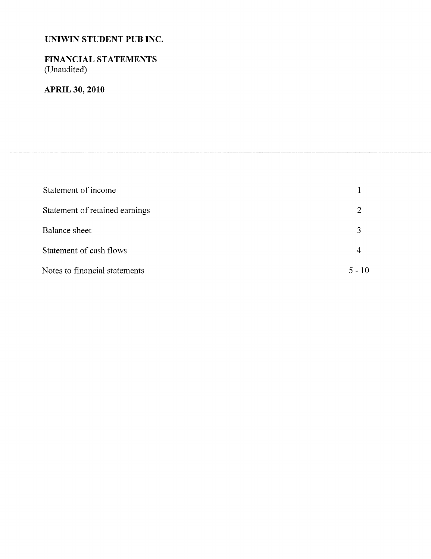# **FINANCIAL STATEMENTS** (Unaudited)

# **APRIL 30, 2010**

| Statement of income            |          |
|--------------------------------|----------|
| Statement of retained earnings | 2        |
| Balance sheet                  | 3        |
| Statement of cash flows        |          |
| Notes to financial statements  | $5 - 10$ |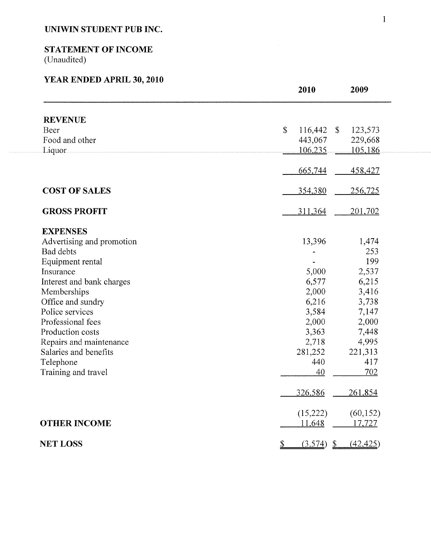# **STATEMENT OF INCOME**

(Unaudited)

# **YEAR ENDED APRIL 30, 2010**

|                           | 2010           |              | 2009                        |
|---------------------------|----------------|--------------|-----------------------------|
| <b>REVENUE</b>            |                |              |                             |
| Beer                      | \$             | $116,442$ \$ | 123,573                     |
| Food and other            |                | 443,067      | 229,668                     |
| Liquor                    |                | 106,235      | 105,186                     |
|                           |                |              |                             |
|                           |                | 665,744      | 458,427                     |
| <b>COST OF SALES</b>      |                | 354,380      | 256,725                     |
| <b>GROSS PROFIT</b>       |                | 311,364      | <u>201,702</u>              |
| <b>EXPENSES</b>           |                |              |                             |
| Advertising and promotion |                | 13,396       | 1,474                       |
| <b>Bad debts</b>          |                |              | 253                         |
| Equipment rental          |                |              | 199                         |
| Insurance                 |                | 5,000        | 2,537                       |
| Interest and bank charges |                | 6,577        | 6,215                       |
| Memberships               |                | 2,000        | 3,416                       |
| Office and sundry         |                | 6,216        | 3,738                       |
| Police services           |                | 3,584        | 7,147                       |
| Professional fees         |                | 2,000        | 2,000                       |
| Production costs          |                | 3,363        | 7,448                       |
| Repairs and maintenance   |                | 2,718        | 4,995                       |
| Salaries and benefits     |                | 281,252      | 221,313                     |
| Telephone                 |                | 440          | 417                         |
| Training and travel       |                | 40           | 702                         |
|                           |                | 326,586      | 261,854                     |
|                           |                | (15,222)     | (60, 152)                   |
| <b>OTHER INCOME</b>       |                | 11,648       | 17,727                      |
| <b>NET LOSS</b>           | $\overline{v}$ | (3,574)      | (42, 425)<br>$\mathfrak{D}$ |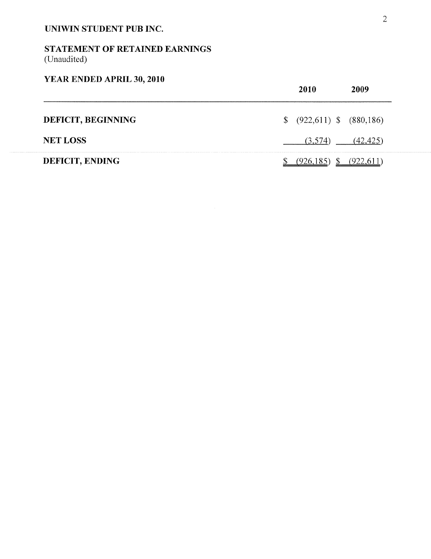# STATEMENT OF RETAINED EARNINGS (Unaudited)

# **YEAR** ENDED APRIL **30, 2010**

|                    |    | 2010                       |  |
|--------------------|----|----------------------------|--|
| DEFICIT, BEGINNING | S. | $(922,611)$ \$ $(880,186)$ |  |
| <b>NET LOSS</b>    |    | (3.574)                    |  |
| DEFICIT, ENDING    |    |                            |  |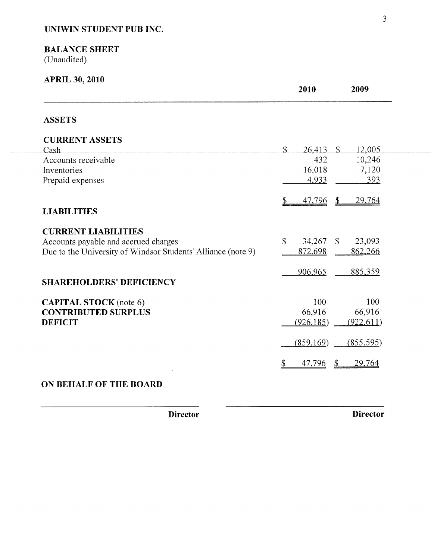# **BALANCE SHEET**

(Unaudited)

| <b>APRIL 30, 2010</b>                                        | 2010                   | 2009                  |
|--------------------------------------------------------------|------------------------|-----------------------|
| <b>ASSETS</b>                                                |                        |                       |
| <b>CURRENT ASSETS</b>                                        | $\mathbf{\hat{S}}$     | -S.                   |
| Cash<br>Accounts receivable                                  | 26,413<br>432          | 12,005<br>10,246      |
| Inventories                                                  | 16,018                 | 7,120                 |
| Prepaid expenses                                             | 4,933                  | 393                   |
|                                                              | 47,796<br>S            | <u>29,764</u><br>\$   |
| <b>LIABILITIES</b>                                           |                        |                       |
| <b>CURRENT LIABILITIES</b>                                   |                        |                       |
| Accounts payable and accrued charges                         | $\mathbb{S}$<br>34,267 | 23,093<br>$\mathbf S$ |
| Due to the University of Windsor Students' Alliance (note 9) | 872,698                | 862,266               |
|                                                              | 906,965                | 885,359               |
| <b>SHAREHOLDERS' DEFICIENCY</b>                              |                        |                       |
| <b>CAPITAL STOCK</b> (note 6)                                | 100                    | 100                   |
| <b>CONTRIBUTED SURPLUS</b>                                   | 66,916                 | 66,916                |
| <b>DEFICIT</b>                                               | (926, 185)             | (922, 611)            |
|                                                              | (859, 169)             | (855, 595)            |
|                                                              | 47,796                 | 29,764                |

# **ON BEHALF OF THE BOARD**

**Director Director**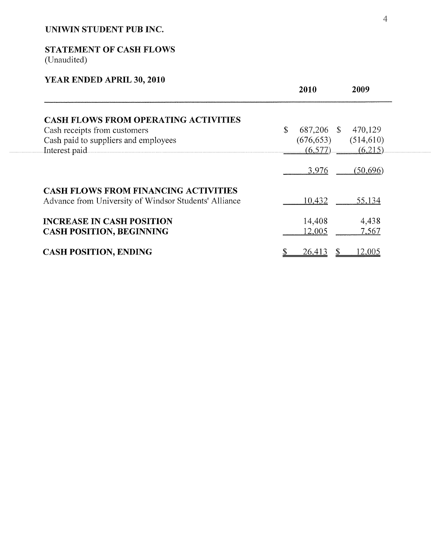# **STATEMENT OF CASH FLOWS** (Unaudited)

# **YEAR ENDED APRIL 30, 2010**

|                                                                                                      | 2010             | 2009       |
|------------------------------------------------------------------------------------------------------|------------------|------------|
| <b>CASH FLOWS FROM OPERATING ACTIVITIES</b>                                                          |                  |            |
| Cash receipts from customers                                                                         | \$<br>687,206 \$ | 470,129    |
| Cash paid to suppliers and employees                                                                 | (676, 653)       | (514, 610) |
| Interest paid                                                                                        | (6,577)          | (6,215)    |
|                                                                                                      | 3,976            | (50, 696)  |
| <b>CASH FLOWS FROM FINANCING ACTIVITIES</b><br>Advance from University of Windsor Students' Alliance | 10,432           | 55,134     |
| <b>INCREASE IN CASH POSITION</b>                                                                     | 14,408           | 4,438      |
| <b>CASH POSITION, BEGINNING</b>                                                                      | 12,005           | 7,567      |
| <b>CASH POSITION, ENDING</b>                                                                         | 26,413           | 12,005     |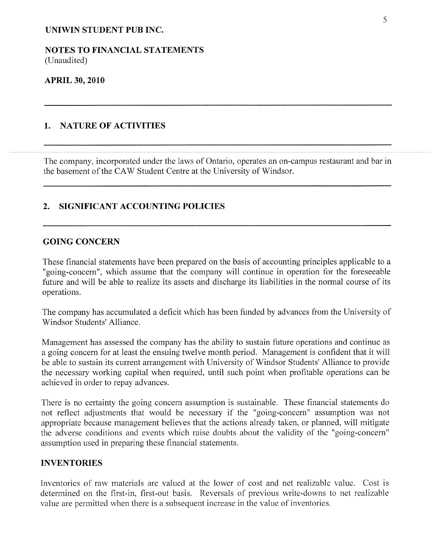NOTES TO FINANCIAL STATEMENTS (Unaudited)

#### **APRIL 30, 2010**

#### 1. NATURE OF ACTIVITIES

The company, incorporated under the laws of Ontario, operates an on-campus restaurant and bar in the basement of the CAW Student Centre at the University of Windsor.

#### **2. SIGNIFICANT ACCOUNTING POLICIES**

#### **GOING CONCERN**

These financial statements have been prepared on the basis of accounting principles applicable to a "going-concern", which assume that the company will continue in operation for the foreseeable future and will be able to realize its assets and discharge its liabilities in the normal course of its operations.

The company has accumulated a deficit which has been funded by advances from the University of Windsor Students' Alliance.

Management has assessed the company has the ability to sustain future operations and continue as a going concern for at least the ensuing twelve month period. Management is confident that it will be able to sustain its current arrangement with University of Windsor Students' Alliance to provide the necessary working capital when required, until such point when profitable operations can be achieved in order to repay advances.

There is no certainty the going concern assumption is sustainable. These financial statements do not reflect adjustments that would be necessary if the "going-concern" assumption was not appropriate because management believes that the actions already taken, or planned, will mitigate the adverse conditions and events which raise doubts about the validity of the "going-concern" assumption used in preparing these financial statements.

#### **INVENTORIES**

Inventories of raw materials are valued at the lower of cost and net realizable value. Cost is determined on the first-in, first-out basis. Reversals of previous write-downs to net realizable value are permitted when there is a subsequent increase in the value of inventories.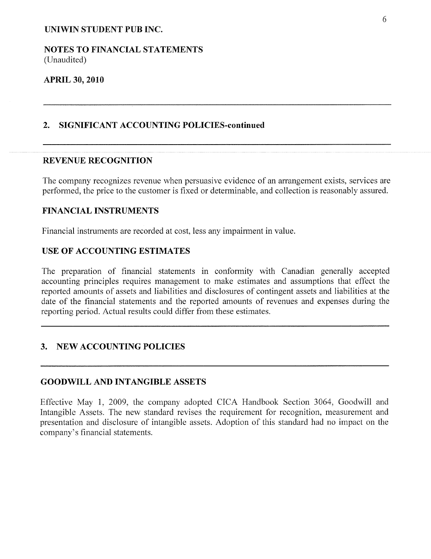NOTES TO FINANCIAL STATEMENTS (Unaudited)

#### **APRIL 30, 2010**

#### **2. SIGNIFICANT ACCOUNTING POLICIES-continued**

#### REVENUE **RECOGNITION**

The company recognizes revenue when persuasive evidence of an arrangement exists, services are performed, the price to the customer is fixed or determinable, and collection is reasonably assured.

#### **FINANCIAL INSTRUMENTS**

Financial instruments are recorded at cost, less any impairment in value.

#### **USE OF ACCOUNTING** ESTIMATES

The preparation of financial statements in conformity with Canadian generally accepted accounting principles requires management to make estimates and assumptions that effect the reported amounts of assets and liabilities and disclosures of contingent assets and liabilities at the date of the financial statements and the reported amounts of revenues and expenses during the reporting period. Actual results could differ from these estimates.

#### **3. NEW ACCOUNTING POLICIES**

#### **GOODWILL AND INTANGIBLE ASSETS**

Effective May 1, 2009, the company adopted CICA Handbook Section 3064, Goodwill and Intangible Assets. The new standard revises the requirement for recognition, measurement and presentation and disclosure of intangible assets. Adoption of this standard had no impact on the company's financial statements.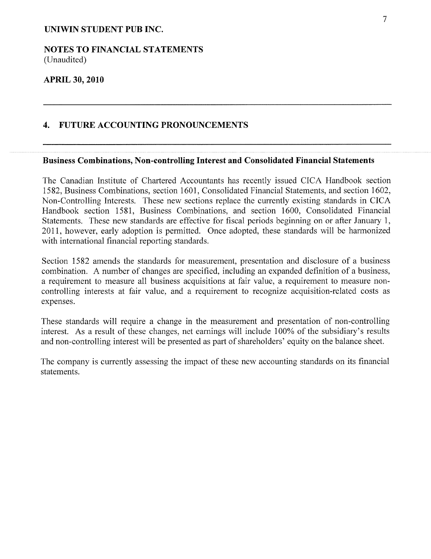NOTES TO FINANCIAL STATEMENTS (Unaudited)

#### **APRIL 30, 2010**

#### 4. FUTURE ACCOUNTING PRONOUNCEMENTS

## **Business Combinations, Non-controlling Interest and Consolidated Financial Statements**

The Canadian Institute of Chartered Accountants has recently issued CICA Handbook section 1582, Business Combinations, section 1601, Consolidated Financial Statements, and section 1602, Non-Controlling Interests. These new sections replace the currently existing standards in CICA Handbook section 1581, Business Combinations, and section 1600, Consolidated Financial Statements. These new standards are effective for fiscal periods beginning on or after January 1, 2011, however, early adoption is permitted. Once adopted, these standards will be harmonized with international financial reporting standards.

Section 1582 amends the standards for measurement, presentation and disclosure of a business combination. A number of changes are specified, including an expanded definition of a business, a requirement to measure all business acquisitions at fair value, a requirement to measure noncontrolling interests at fair value, and a requirement to recognize acquisition-related costs as expenses.

These standards will require a change in the measurement and presentation of non-controlling interest. As a result of these changes, net earnings will include 100% of the subsidiary's results and non-controlling interest will be presented as part of shareholders' equity on the balance sheet.

The company is currently assessing the impact of these new accounting standards on its financial statements.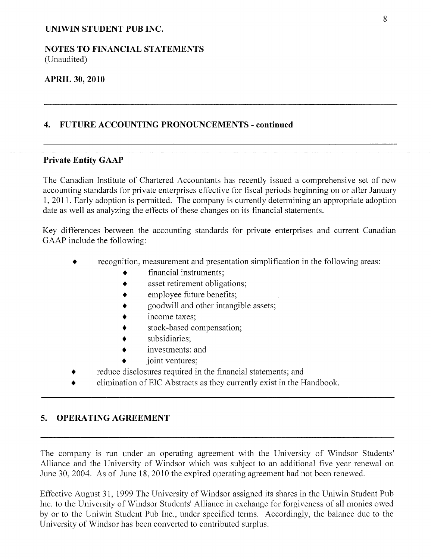#### **NOTES TO FINANCIAL** STATEMENTS (Unaudited)

#### **APRIL 30, 2010**

#### **4. FUTURE ACCOUNTING PRONOUNCEMENTS - continued**

#### **Private Entity GAAP**

The Canadian Institute of Chartered Accountants has recently issued a comprehensive set of new accounting standards for private enterprises effective for fiscal periods beginning on or after January 1, 2011. Early adoption is permitted. The company is currently determining an appropriate adoption date as well as analyzing the effects of these changes on its financial statements.

Key differences between the accounting standards for private enterprises and current Canadian GAAP include the following:

- recognition, measurement and presentation simplification in the following areas:
	- financial instruments;
	- asset retirement obligations;
	- employee future benefits;
	- ¯ goodwill and other intangible assets;
	- income taxes;
	- stock-based compensation;
	- subsidiaries;
	- investments; and
	- joint ventures;
	- reduce disclosures required in the financial statements; and
- elimination of EIC Abstracts as they currently exist in the Handbook.

# **5. OPERATING AGREEMENT**

The company is run under an operating agreement with the University of Windsor Students' Alliance and the University of Windsor which was subject to an additional five year renewal on June 30, 2004. As of June 18, 2010 the expired operating agreement had not been renewed.

Effective August 31, 1999 The University of Windsor assigned its shares in the Uniwin Student Pub Inc. to the University of Windsor Students' Alliance in exchange for forgiveness of all monies owed by or to the Uniwin Student Pub Inc., under specified terms. Accordingly, the balance due to the University of Windsor has been converted to contributed surplus.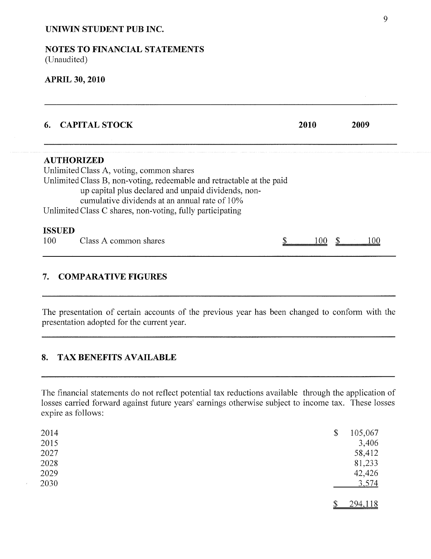#### **NOTES TO FINANCIAL STATEMENTS** (Unaudited)

#### **APRIL 30, 2010**

|                      | <b>CAPITAL STOCK</b>                                                                                                                                                                                                                                                                                        | 2010 |  | 2009 |  |
|----------------------|-------------------------------------------------------------------------------------------------------------------------------------------------------------------------------------------------------------------------------------------------------------------------------------------------------------|------|--|------|--|
|                      | <b>AUTHORIZED</b><br>Unlimited Class A, voting, common shares<br>Unlimited Class B, non-voting, redeemable and retractable at the paid<br>up capital plus declared and unpaid dividends, non-<br>cumulative dividends at an annual rate of 10%<br>Unlimited Class C shares, non-voting, fully participating |      |  |      |  |
| <b>ISSUED</b><br>100 | Class A common shares                                                                                                                                                                                                                                                                                       |      |  |      |  |

## **7. COMPARATIVE FIGURES**

The presentation of certain accounts of the previous year has been changed to conform with the presentation adopted for the current year.

## **8. TAX BENEFITS AVAILABLE**

The financial statements do not reflect potential tax reductions available through the application of losses carried forward against future years' earnings otherwise subject to income tax. These losses expire as follows:

| 2014 | \$<br>105,067 |
|------|---------------|
| 2015 | 3,406         |
| 2027 | 58,412        |
| 2028 | 81,233        |
| 2029 | 42,426        |
| 2030 | 3,574         |
|      |               |
|      | 294,118       |